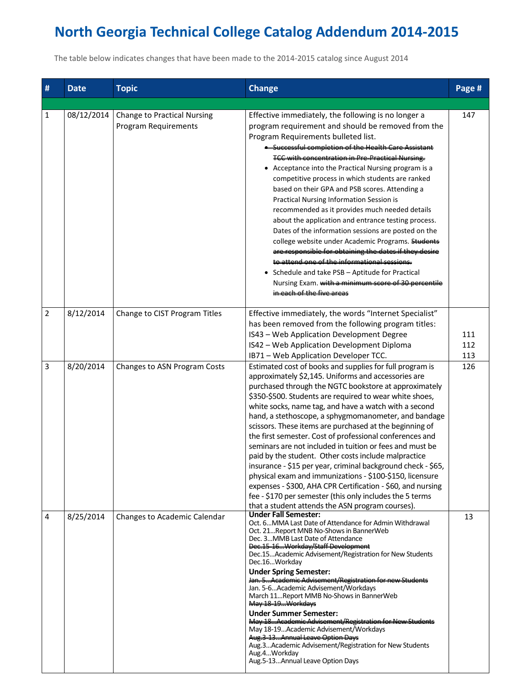## **North Georgia Technical College Catalog Addendum 2014-2015**

The table below indicates changes that have been made to the 2014-2015 catalog since August 2014

| # | <b>Date</b> | <b>Topic</b>                                               | <b>Change</b>                                                                                                                                                                                                                                                                                                                                                                                                                                                                                                                                                                                                                                                                                                                                                                                                                                                                                              | Page #            |
|---|-------------|------------------------------------------------------------|------------------------------------------------------------------------------------------------------------------------------------------------------------------------------------------------------------------------------------------------------------------------------------------------------------------------------------------------------------------------------------------------------------------------------------------------------------------------------------------------------------------------------------------------------------------------------------------------------------------------------------------------------------------------------------------------------------------------------------------------------------------------------------------------------------------------------------------------------------------------------------------------------------|-------------------|
| 1 | 08/12/2014  | Change to Practical Nursing<br><b>Program Requirements</b> | Effective immediately, the following is no longer a<br>program requirement and should be removed from the<br>Program Requirements bulleted list.<br>• Successful completion of the Health Care Assistant                                                                                                                                                                                                                                                                                                                                                                                                                                                                                                                                                                                                                                                                                                   | 147               |
|   |             |                                                            | <b>TCC with concentration in Pre-Practical Nursing.</b><br>• Acceptance into the Practical Nursing program is a<br>competitive process in which students are ranked<br>based on their GPA and PSB scores. Attending a<br>Practical Nursing Information Session is<br>recommended as it provides much needed details<br>about the application and entrance testing process.<br>Dates of the information sessions are posted on the<br>college website under Academic Programs. Students<br>are responsible for obtaining the dates if they desire<br>to attend one of the informational sessions.<br>• Schedule and take PSB - Aptitude for Practical<br>Nursing Exam. with a minimum score of 30 percentile<br>in each of the five areas                                                                                                                                                                   |                   |
| 2 | 8/12/2014   | Change to CIST Program Titles                              | Effective immediately, the words "Internet Specialist"<br>has been removed from the following program titles:<br>IS43 - Web Application Development Degree<br>IS42 - Web Application Development Diploma<br>IB71 - Web Application Developer TCC.                                                                                                                                                                                                                                                                                                                                                                                                                                                                                                                                                                                                                                                          | 111<br>112<br>113 |
| 3 | 8/20/2014   | Changes to ASN Program Costs                               | Estimated cost of books and supplies for full program is<br>approximately \$2,145. Uniforms and accessories are<br>purchased through the NGTC bookstore at approximately<br>\$350-\$500. Students are required to wear white shoes,<br>white socks, name tag, and have a watch with a second<br>hand, a stethoscope, a sphygmomanometer, and bandage<br>scissors. These items are purchased at the beginning of<br>the first semester. Cost of professional conferences and<br>seminars are not included in tuition or fees and must be<br>paid by the student. Other costs include malpractice<br>insurance - \$15 per year, criminal background check - \$65,<br>physical exam and immunizations - \$100-\$150, licensure<br>expenses - \$300, AHA CPR Certification - \$60, and nursing<br>fee - \$170 per semester (this only includes the 5 terms<br>that a student attends the ASN program courses). | 126               |
| 4 | 8/25/2014   | Changes to Academic Calendar                               | <b>Under Fall Semester:</b><br>Oct. 6MMA Last Date of Attendance for Admin Withdrawal<br>Oct. 21Report MNB No-Shows in BannerWeb<br>Dec. 3MMB Last Date of Attendance<br>Dec.15-16Workday/Staff Development<br>Dec.15Academic Advisement/Registration for New Students<br>Dec.16Workday<br><b>Under Spring Semester:</b><br>Jan. 5Academic Advisement/Registration for new Students<br>Jan. 5-6Academic Advisement/Workdays<br>March 11Report MMB No-Shows in BannerWeb<br>May 18-19 Workdays<br><b>Under Summer Semester:</b><br>May 18Academic Advisement/Registration for New Students<br>May 18-19Academic Advisement/Workdays<br>Aug.3-13Annual Leave Option Days<br>Aug.3Academic Advisement/Registration for New Students<br>Aug.4Workday<br>Aug.5-13Annual Leave Option Days                                                                                                                       | 13                |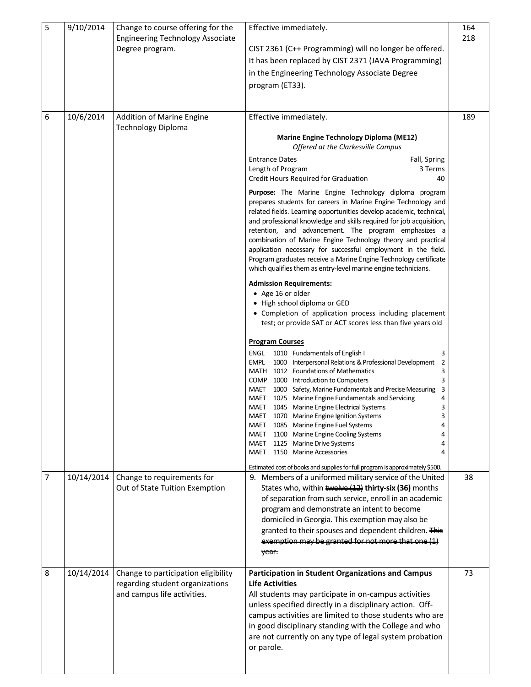| 5 | 9/10/2014  | Change to course offering for the<br><b>Engineering Technology Associate</b><br>Degree program.       | Effective immediately.<br>CIST 2361 (C++ Programming) will no longer be offered.<br>It has been replaced by CIST 2371 (JAVA Programming)<br>in the Engineering Technology Associate Degree<br>program (ET33).                                                                                                                                                                                                                                                                                                                                                                                                                                                                                                                                                                                                                                                                                                                                                                                                                              |    |
|---|------------|-------------------------------------------------------------------------------------------------------|--------------------------------------------------------------------------------------------------------------------------------------------------------------------------------------------------------------------------------------------------------------------------------------------------------------------------------------------------------------------------------------------------------------------------------------------------------------------------------------------------------------------------------------------------------------------------------------------------------------------------------------------------------------------------------------------------------------------------------------------------------------------------------------------------------------------------------------------------------------------------------------------------------------------------------------------------------------------------------------------------------------------------------------------|----|
| 6 | 10/6/2014  | Addition of Marine Engine<br><b>Technology Diploma</b>                                                | Effective immediately.<br><b>Marine Engine Technology Diploma (ME12)</b><br>Offered at the Clarkesville Campus<br><b>Entrance Dates</b><br>Fall, Spring<br>Length of Program<br>3 Terms<br>Credit Hours Required for Graduation<br>40<br><b>Purpose:</b> The Marine Engine Technology diploma program<br>prepares students for careers in Marine Engine Technology and<br>related fields. Learning opportunities develop academic, technical,<br>and professional knowledge and skills required for job acquisition,<br>retention, and advancement. The program emphasizes a<br>combination of Marine Engine Technology theory and practical<br>application necessary for successful employment in the field.<br>Program graduates receive a Marine Engine Technology certificate                                                                                                                                                                                                                                                          |    |
|   |            |                                                                                                       | which qualifies them as entry-level marine engine technicians.<br><b>Admission Requirements:</b><br>• Age 16 or older<br>• High school diploma or GED<br>• Completion of application process including placement<br>test; or provide SAT or ACT scores less than five years old<br><b>Program Courses</b><br>ENGL<br>1010 Fundamentals of English I<br>3<br>empl<br>1000 Interpersonal Relations & Professional Development<br>$\overline{2}$<br>3<br>MATH<br>1012 Foundations of Mathematics<br>COMP 1000 Introduction to Computers<br>3<br>1000 Safety, Marine Fundamentals and Precise Measuring<br>MAET<br>3<br>MAET 1025 Marine Engine Fundamentals and Servicing<br>4<br>ξ<br>MAET 1045 Marine Engine Electrical Systems<br>MAET 1070 Marine Engine Ignition Systems<br>3<br>1085 Marine Engine Fuel Systems<br>MAET<br>4<br>MAET 1100 Marine Engine Cooling Systems<br>1125 Marine Drive Systems<br>MAET<br>4<br>MAET 1150 Marine Accessories<br>4<br>Estimated cost of books and supplies for full program is approximately \$500. |    |
| 7 | 10/14/2014 | Change to requirements for<br>Out of State Tuition Exemption                                          | 9. Members of a uniformed military service of the United<br>States who, within twelve (12) thirty-six (36) months<br>of separation from such service, enroll in an academic<br>program and demonstrate an intent to become<br>domiciled in Georgia. This exemption may also be<br>granted to their spouses and dependent children. This<br>exemption may be granted for not more that one (1)<br>year.                                                                                                                                                                                                                                                                                                                                                                                                                                                                                                                                                                                                                                     |    |
| 8 | 10/14/2014 | Change to participation eligibility<br>regarding student organizations<br>and campus life activities. | <b>Participation in Student Organizations and Campus</b><br><b>Life Activities</b><br>All students may participate in on-campus activities<br>unless specified directly in a disciplinary action. Off-<br>campus activities are limited to those students who are<br>in good disciplinary standing with the College and who<br>are not currently on any type of legal system probation<br>or parole.                                                                                                                                                                                                                                                                                                                                                                                                                                                                                                                                                                                                                                       | 73 |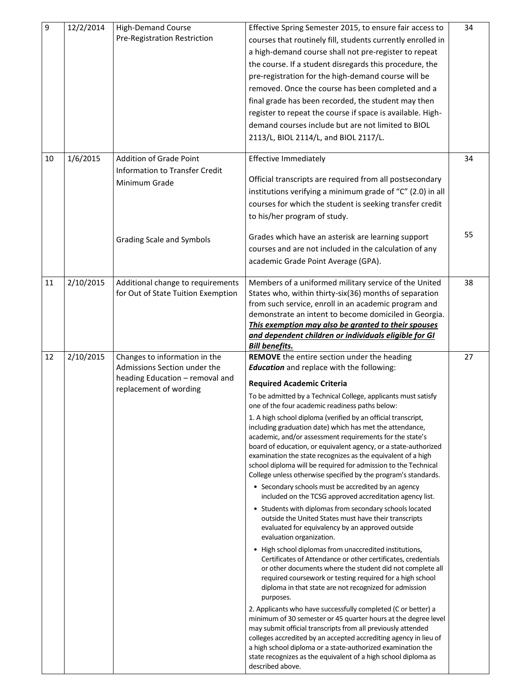| $\boldsymbol{9}$<br>10 | 12/2/2014<br>1/6/2015 | <b>High-Demand Course</b><br>Pre-Registration Restriction<br><b>Addition of Grade Point</b>                                | Effective Spring Semester 2015, to ensure fair access to<br>courses that routinely fill, students currently enrolled in<br>a high-demand course shall not pre-register to repeat<br>the course. If a student disregards this procedure, the<br>pre-registration for the high-demand course will be<br>removed. Once the course has been completed and a<br>final grade has been recorded, the student may then<br>register to repeat the course if space is available. High-<br>demand courses include but are not limited to BIOL<br>2113/L, BIOL 2114/L, and BIOL 2117/L.                                                                                                                                                                                                                                                                                                                                                                                                                                                                                                                                                                                                                                                                                                                                                                                                                                                                                                                                                                                                                                                                                                                                                                                                                              |    |
|------------------------|-----------------------|----------------------------------------------------------------------------------------------------------------------------|----------------------------------------------------------------------------------------------------------------------------------------------------------------------------------------------------------------------------------------------------------------------------------------------------------------------------------------------------------------------------------------------------------------------------------------------------------------------------------------------------------------------------------------------------------------------------------------------------------------------------------------------------------------------------------------------------------------------------------------------------------------------------------------------------------------------------------------------------------------------------------------------------------------------------------------------------------------------------------------------------------------------------------------------------------------------------------------------------------------------------------------------------------------------------------------------------------------------------------------------------------------------------------------------------------------------------------------------------------------------------------------------------------------------------------------------------------------------------------------------------------------------------------------------------------------------------------------------------------------------------------------------------------------------------------------------------------------------------------------------------------------------------------------------------------|----|
|                        |                       | Information to Transfer Credit<br>Minimum Grade                                                                            | <b>Effective Immediately</b><br>Official transcripts are required from all postsecondary<br>institutions verifying a minimum grade of "C" (2.0) in all<br>courses for which the student is seeking transfer credit<br>to his/her program of study.                                                                                                                                                                                                                                                                                                                                                                                                                                                                                                                                                                                                                                                                                                                                                                                                                                                                                                                                                                                                                                                                                                                                                                                                                                                                                                                                                                                                                                                                                                                                                       | 34 |
|                        |                       | Grading Scale and Symbols                                                                                                  | Grades which have an asterisk are learning support<br>courses and are not included in the calculation of any<br>academic Grade Point Average (GPA).                                                                                                                                                                                                                                                                                                                                                                                                                                                                                                                                                                                                                                                                                                                                                                                                                                                                                                                                                                                                                                                                                                                                                                                                                                                                                                                                                                                                                                                                                                                                                                                                                                                      | 55 |
| 11                     | 2/10/2015             | Additional change to requirements<br>for Out of State Tuition Exemption                                                    | Members of a uniformed military service of the United<br>States who, within thirty-six(36) months of separation<br>from such service, enroll in an academic program and<br>demonstrate an intent to become domiciled in Georgia.<br>This exemption may also be granted to their spouses<br>and dependent children or individuals eligible for GI<br><b>Bill benefits.</b>                                                                                                                                                                                                                                                                                                                                                                                                                                                                                                                                                                                                                                                                                                                                                                                                                                                                                                                                                                                                                                                                                                                                                                                                                                                                                                                                                                                                                                | 38 |
| 12                     | 2/10/2015             | Changes to information in the<br>Admissions Section under the<br>heading Education - removal and<br>replacement of wording | REMOVE the entire section under the heading<br><b>Education</b> and replace with the following:<br><b>Required Academic Criteria</b><br>To be admitted by a Technical College, applicants must satisfy<br>one of the four academic readiness paths below:<br>1. A high school diploma (verified by an official transcript,<br>including graduation date) which has met the attendance,<br>academic, and/or assessment requirements for the state's<br>board of education, or equivalent agency, or a state-authorized<br>examination the state recognizes as the equivalent of a high<br>school diploma will be required for admission to the Technical<br>College unless otherwise specified by the program's standards.<br>• Secondary schools must be accredited by an agency<br>included on the TCSG approved accreditation agency list.<br>• Students with diplomas from secondary schools located<br>outside the United States must have their transcripts<br>evaluated for equivalency by an approved outside<br>evaluation organization.<br>• High school diplomas from unaccredited institutions,<br>Certificates of Attendance or other certificates, credentials<br>or other documents where the student did not complete all<br>required coursework or testing required for a high school<br>diploma in that state are not recognized for admission<br>purposes.<br>2. Applicants who have successfully completed (C or better) a<br>minimum of 30 semester or 45 quarter hours at the degree level<br>may submit official transcripts from all previously attended<br>colleges accredited by an accepted accrediting agency in lieu of<br>a high school diploma or a state-authorized examination the<br>state recognizes as the equivalent of a high school diploma as<br>described above. | 27 |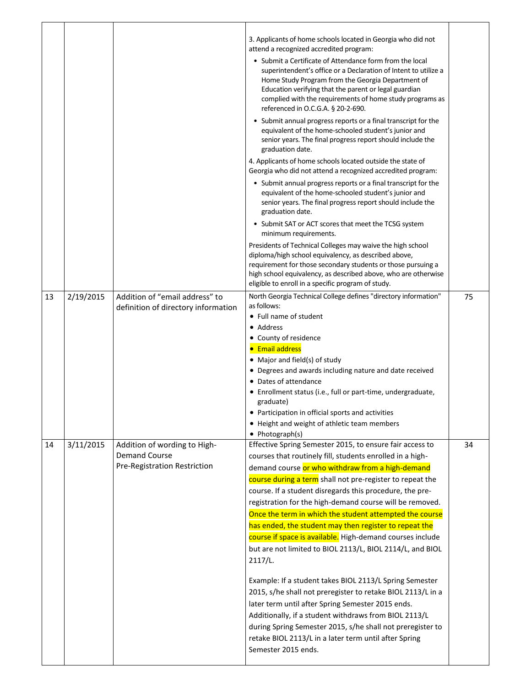|    |           |                                                                       | 3. Applicants of home schools located in Georgia who did not<br>attend a recognized accredited program:<br>• Submit a Certificate of Attendance form from the local<br>superintendent's office or a Declaration of Intent to utilize a<br>Home Study Program from the Georgia Department of<br>Education verifying that the parent or legal guardian |    |
|----|-----------|-----------------------------------------------------------------------|------------------------------------------------------------------------------------------------------------------------------------------------------------------------------------------------------------------------------------------------------------------------------------------------------------------------------------------------------|----|
|    |           |                                                                       | complied with the requirements of home study programs as<br>referenced in O.C.G.A. § 20-2-690.<br>• Submit annual progress reports or a final transcript for the<br>equivalent of the home-schooled student's junior and                                                                                                                             |    |
|    |           |                                                                       | senior years. The final progress report should include the<br>graduation date.                                                                                                                                                                                                                                                                       |    |
|    |           |                                                                       | 4. Applicants of home schools located outside the state of<br>Georgia who did not attend a recognized accredited program:                                                                                                                                                                                                                            |    |
|    |           |                                                                       | • Submit annual progress reports or a final transcript for the<br>equivalent of the home-schooled student's junior and<br>senior years. The final progress report should include the<br>graduation date.                                                                                                                                             |    |
|    |           |                                                                       | • Submit SAT or ACT scores that meet the TCSG system<br>minimum requirements.                                                                                                                                                                                                                                                                        |    |
|    |           |                                                                       | Presidents of Technical Colleges may waive the high school<br>diploma/high school equivalency, as described above,<br>requirement for those secondary students or those pursuing a<br>high school equivalency, as described above, who are otherwise<br>eligible to enroll in a specific program of study.                                           |    |
| 13 | 2/19/2015 | Addition of "email address" to<br>definition of directory information | North Georgia Technical College defines "directory information"<br>as follows:                                                                                                                                                                                                                                                                       | 75 |
|    |           |                                                                       | • Full name of student                                                                                                                                                                                                                                                                                                                               |    |
|    |           |                                                                       | · Address                                                                                                                                                                                                                                                                                                                                            |    |
|    |           |                                                                       | • County of residence                                                                                                                                                                                                                                                                                                                                |    |
|    |           |                                                                       | <b>• Email address</b><br>• Major and field(s) of study                                                                                                                                                                                                                                                                                              |    |
|    |           |                                                                       | • Degrees and awards including nature and date received                                                                                                                                                                                                                                                                                              |    |
|    |           |                                                                       | • Dates of attendance                                                                                                                                                                                                                                                                                                                                |    |
|    |           |                                                                       | • Enrollment status (i.e., full or part-time, undergraduate,<br>graduate)                                                                                                                                                                                                                                                                            |    |
|    |           |                                                                       | Participation in official sports and activities                                                                                                                                                                                                                                                                                                      |    |
|    |           |                                                                       | • Height and weight of athletic team members                                                                                                                                                                                                                                                                                                         |    |
| 14 | 3/11/2015 | Addition of wording to High-                                          | • Photograph(s)<br>Effective Spring Semester 2015, to ensure fair access to                                                                                                                                                                                                                                                                          | 34 |
|    |           | <b>Demand Course</b>                                                  | courses that routinely fill, students enrolled in a high-                                                                                                                                                                                                                                                                                            |    |
|    |           | Pre-Registration Restriction                                          | demand course or who withdraw from a high-demand                                                                                                                                                                                                                                                                                                     |    |
|    |           |                                                                       | course during a term shall not pre-register to repeat the                                                                                                                                                                                                                                                                                            |    |
|    |           |                                                                       | course. If a student disregards this procedure, the pre-                                                                                                                                                                                                                                                                                             |    |
|    |           |                                                                       | registration for the high-demand course will be removed.                                                                                                                                                                                                                                                                                             |    |
|    |           |                                                                       | Once the term in which the student attempted the course                                                                                                                                                                                                                                                                                              |    |
|    |           |                                                                       | has ended, the student may then register to repeat the                                                                                                                                                                                                                                                                                               |    |
|    |           |                                                                       | course if space is available. High-demand courses include<br>but are not limited to BIOL 2113/L, BIOL 2114/L, and BIOL                                                                                                                                                                                                                               |    |
|    |           |                                                                       | 2117/L.                                                                                                                                                                                                                                                                                                                                              |    |
|    |           |                                                                       | Example: If a student takes BIOL 2113/L Spring Semester                                                                                                                                                                                                                                                                                              |    |
|    |           |                                                                       | 2015, s/he shall not preregister to retake BIOL 2113/L in a                                                                                                                                                                                                                                                                                          |    |
|    |           |                                                                       | later term until after Spring Semester 2015 ends.<br>Additionally, if a student withdraws from BIOL 2113/L                                                                                                                                                                                                                                           |    |
|    |           |                                                                       | during Spring Semester 2015, s/he shall not preregister to                                                                                                                                                                                                                                                                                           |    |
|    |           |                                                                       | retake BIOL 2113/L in a later term until after Spring                                                                                                                                                                                                                                                                                                |    |
|    |           |                                                                       | Semester 2015 ends.                                                                                                                                                                                                                                                                                                                                  |    |
|    |           |                                                                       |                                                                                                                                                                                                                                                                                                                                                      |    |